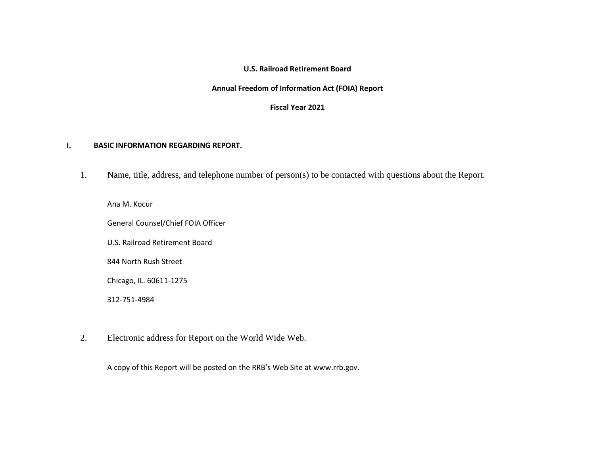### **U.S. Railroad Retirement Board**

#### **Annual Freedom of Information Act (FOIA) Report**

### **Fiscal Year 2021**

### **I. BASIC INFORMATION REGARDING REPORT.**

1. Name, title, address, and telephone number of person(s) to be contacted with questions about the Report.

Ana M. Kocur

General Counsel/Chief FOIA Officer

U.S. Railroad Retirement Board

844 North Rush Street

Chicago, IL. 60611-1275

312-751-4984

2. Electronic address for Report on the World Wide Web.

A copy of this Report will be posted on the RRB's Web Site at [www.rrb.gov.](www.rrb.gov)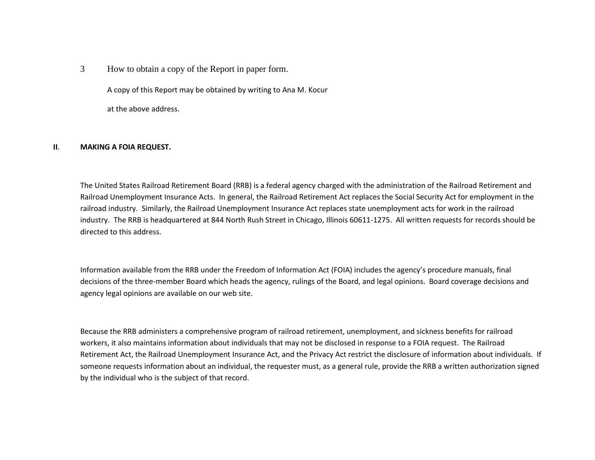3 How to obtain a copy of the Report in paper form.

A copy of this Report may be obtained by writing to Ana M. Kocur

at the above address.

#### **II**. **MAKING A FOIA REQUEST.**

 Railroad Unemployment Insurance Acts. In general, the Railroad Retirement Act replaces the Social Security Act for employment in the railroad industry. Similarly, the Railroad Unemployment Insurance Act replaces state unemployment acts for work in the railroad directed to this address. The United States Railroad Retirement Board (RRB) is a federal agency charged with the administration of the Railroad Retirement and industry. The RRB is headquartered at 844 North Rush Street in Chicago, Illinois 60611-1275. All written requests for records should be

 decisions of the three-member Board which heads the agency, rulings of the Board, and legal opinions. Board coverage decisions and Information available from the RRB under the Freedom of Information Act (FOIA) includes the agency's procedure manuals, final agency legal opinions are available on our web site.

Because the RRB administers a comprehensive program of railroad retirement, unemployment, and sickness benefits for railroad workers, it also maintains information about individuals that may not be disclosed in response to a FOIA request. The Railroad Retirement Act, the Railroad Unemployment Insurance Act, and the Privacy Act restrict the disclosure of information about individuals. If someone requests information about an individual, the requester must, as a general rule, provide the RRB a written authorization signed by the individual who is the subject of that record.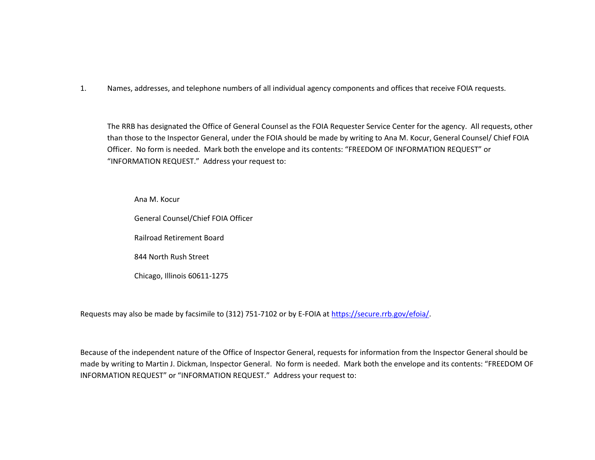1. Names, addresses, and telephone numbers of all individual agency components and offices that receive FOIA requests.

 "INFORMATION REQUEST." Address your request to: The RRB has designated the Office of General Counsel as the FOIA Requester Service Center for the agency. All requests, other than those to the Inspector General, under the FOIA should be made by writing to Ana M. Kocur, General Counsel/ Chief FOIA Officer. No form is needed. Mark both the envelope and its contents: "FREEDOM OF INFORMATION REQUEST" or

Ana M. Kocur

General Counsel/Chief FOIA Officer

Railroad Retirement Board

844 North Rush Street

Chicago, Illinois 60611-1275

Requests may also be made by facsimile to (312) 751-7102 or by E-FOIA at [https://secure.rrb.gov/efoia/.](https://secure.rrb.gov/efoia/)

 made by writing to Martin J. Dickman, Inspector General. No form is needed. Mark both the envelope and its contents: "FREEDOM OF INFORMATION REQUEST" or "INFORMATION REQUEST." Address your request to:Because of the independent nature of the Office of Inspector General, requests for information from the Inspector General should be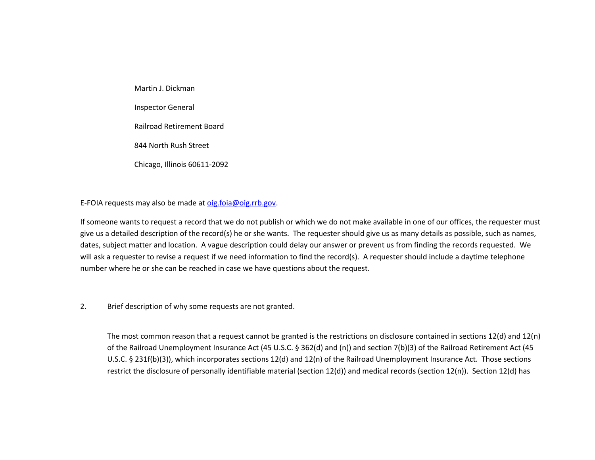Martin J. Dickman Inspector General Railroad Retirement Board 844 North Rush Street Chicago, Illinois 60611-2092

E-FOIA requests may also be made a[t oig.foia@oig.rrb.gov.](mailto:oig.foia@oig.rrb.gov)

 give us a detailed description of the record(s) he or she wants. The requester should give us as many details as possible, such as names, dates, subject matter and location. A vague description could delay our answer or prevent us from finding the records requested. We If someone wants to request a record that we do not publish or which we do not make available in one of our offices, the requester must will ask a requester to revise a request if we need information to find the record(s). A requester should include a daytime telephone number where he or she can be reached in case we have questions about the request.

2. Brief description of why some requests are not granted.

 restrict the disclosure of personally identifiable material (section 12(d)) and medical records (section 12(n)). Section 12(d) has The most common reason that a request cannot be granted is the restrictions on disclosure contained in sections 12(d) and 12(n) of the Railroad Unemployment Insurance Act (45 U.S.C. § 362(d) and (n)) and section 7(b)(3) of the Railroad Retirement Act (45 U.S.C. § 231f(b)(3)), which incorporates sections 12(d) and 12(n) of the Railroad Unemployment Insurance Act. Those sections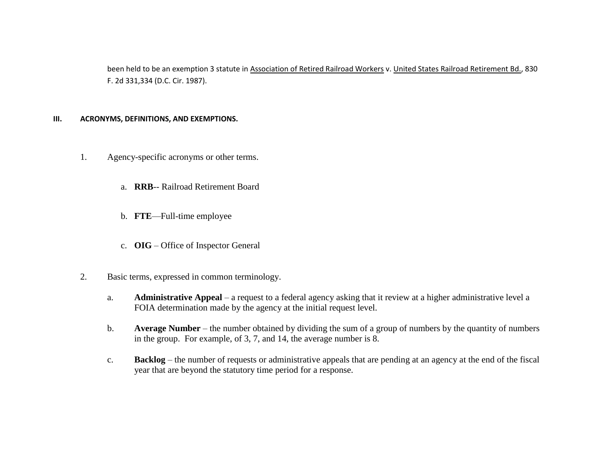been held to be an exemption 3 statute in Association of Retired Railroad Workers v. United States Railroad Retirement Bd., 830 F. 2d 331,334 (D.C. Cir. 1987).

### **III. ACRONYMS, DEFINITIONS, AND EXEMPTIONS.**

- 1. Agency-specific acronyms or other terms.
	- a. **RRB**-- Railroad Retirement Board
	- b. **FTE**—Full-time employee
	- c. **OIG**  Office of Inspector General
- 2. Basic terms, expressed in common terminology.
	- a. **Administrative Appeal**  a request to a federal agency asking that it review at a higher administrative level a FOIA determination made by the agency at the initial request level.
	- b. **Average Number**  the number obtained by dividing the sum of a group of numbers by the quantity of numbers in the group. For example, of 3, 7, and 14, the average number is 8.
	- c. **Backlog**  the number of requests or administrative appeals that are pending at an agency at the end of the fiscal year that are beyond the statutory time period for a response.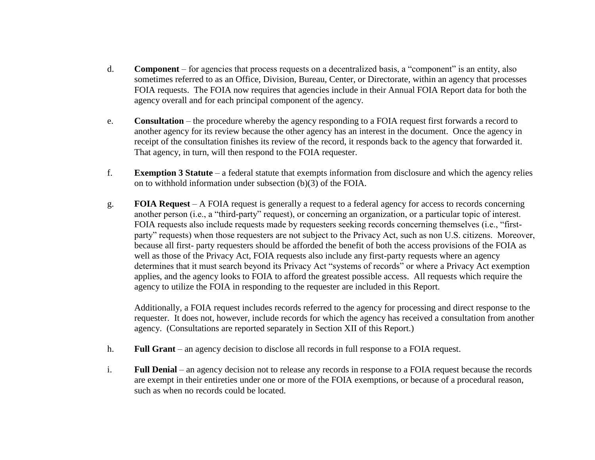- d. **Component**  for agencies that process requests on a decentralized basis, a "component" is an entity, also sometimes referred to as an Office, Division, Bureau, Center, or Directorate, within an agency that processes FOIA requests. The FOIA now requires that agencies include in their Annual FOIA Report data for both the agency overall and for each principal component of the agency.
- e. **Consultation**  the procedure whereby the agency responding to a FOIA request first forwards a record to another agency for its review because the other agency has an interest in the document. Once the agency in receipt of the consultation finishes its review of the record, it responds back to the agency that forwarded it. That agency, in turn, will then respond to the FOIA requester.
- f. **Exemption 3 Statute**  a federal statute that exempts information from disclosure and which the agency relies on to withhold information under subsection (b)(3) of the FOIA.
- g. **FOIA Request**  A FOIA request is generally a request to a federal agency for access to records concerning another person (i.e., a "third-party" request), or concerning an organization, or a particular topic of interest. FOIA requests also include requests made by requesters seeking records concerning themselves (i.e., "firstparty" requests) when those requesters are not subject to the Privacy Act, such as non U.S. citizens. Moreover, because all first- party requesters should be afforded the benefit of both the access provisions of the FOIA as well as those of the Privacy Act, FOIA requests also include any first-party requests where an agency determines that it must search beyond its Privacy Act "systems of records" or where a Privacy Act exemption applies, and the agency looks to FOIA to afford the greatest possible access. All requests which require the agency to utilize the FOIA in responding to the requester are included in this Report.

Additionally, a FOIA request includes records referred to the agency for processing and direct response to the requester. It does not, however, include records for which the agency has received a consultation from another agency. (Consultations are reported separately in Section XII of this Report.)

- h. **Full Grant** an agency decision to disclose all records in full response to a FOIA request.
- i. **Full Denial**  an agency decision not to release any records in response to a FOIA request because the records are exempt in their entireties under one or more of the FOIA exemptions, or because of a procedural reason, such as when no records could be located.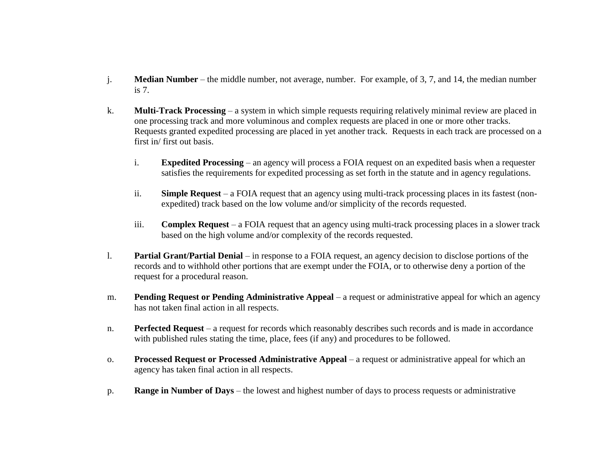- j. **Median Number**  the middle number, not average, number. For example, of 3, 7, and 14, the median number is 7.
- k. **Multi-Track Processing**  a system in which simple requests requiring relatively minimal review are placed in one processing track and more voluminous and complex requests are placed in one or more other tracks. Requests granted expedited processing are placed in yet another track. Requests in each track are processed on a first in/ first out basis.
	- i. **Expedited Processing**  an agency will process a FOIA request on an expedited basis when a requester satisfies the requirements for expedited processing as set forth in the statute and in agency regulations.
	- ii. **Simple Request**  a FOIA request that an agency using multi-track processing places in its fastest (nonexpedited) track based on the low volume and/or simplicity of the records requested.
	- iii. **Complex Request**  a FOIA request that an agency using multi-track processing places in a slower track based on the high volume and/or complexity of the records requested.
- l. **Partial Grant/Partial Denial**  in response to a FOIA request, an agency decision to disclose portions of the records and to withhold other portions that are exempt under the FOIA, or to otherwise deny a portion of the request for a procedural reason.
- m. **Pending Request or Pending Administrative Appeal**  a request or administrative appeal for which an agency has not taken final action in all respects.
- n. **Perfected Request** a request for records which reasonably describes such records and is made in accordance with published rules stating the time, place, fees (if any) and procedures to be followed.
- o. **Processed Request or Processed Administrative Appeal**  a request or administrative appeal for which an agency has taken final action in all respects.
- p. **Range in Number of Days**  the lowest and highest number of days to process requests or administrative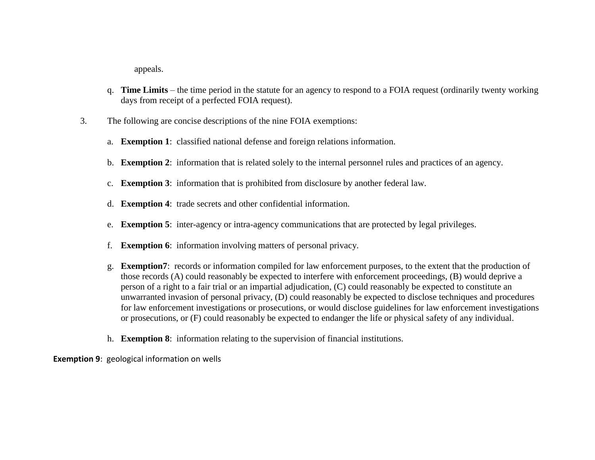appeals.

- q. **Time Limits**  the time period in the statute for an agency to respond to a FOIA request (ordinarily twenty working days from receipt of a perfected FOIA request).
- 3. The following are concise descriptions of the nine FOIA exemptions:
	- a. **Exemption 1**: classified national defense and foreign relations information.
	- b. **Exemption 2**: information that is related solely to the internal personnel rules and practices of an agency.
	- c. **Exemption 3**: information that is prohibited from disclosure by another federal law.
	- d. **Exemption 4**: trade secrets and other confidential information.
	- e. **Exemption 5**: inter-agency or intra-agency communications that are protected by legal privileges.
	- f. **Exemption 6**: information involving matters of personal privacy.
	- person of a right to a fair trial or an impartial adjudication, (C) could reasonably be expected to constitute an g. **Exemption7**: records or information compiled for law enforcement purposes, to the extent that the production of those records (A) could reasonably be expected to interfere with enforcement proceedings, (B) would deprive a unwarranted invasion of personal privacy, (D) could reasonably be expected to disclose techniques and procedures for law enforcement investigations or prosecutions, or would disclose guidelines for law enforcement investigations or prosecutions, or (F) could reasonably be expected to endanger the life or physical safety of any individual.
	- h. **Exemption 8**: information relating to the supervision of financial institutions.

**Exemption 9**: geological information on wells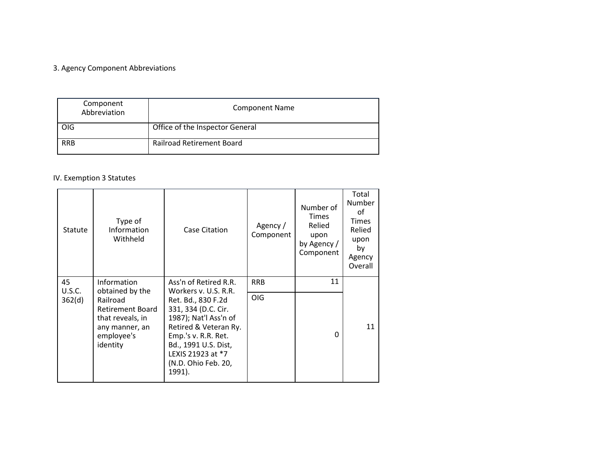## 3. Agency Component Abbreviations

| Component<br>Abbreviation | <b>Component Name</b>            |
|---------------------------|----------------------------------|
| OIG                       | Office of the Inspector General  |
| <b>RRB</b>                | <b>Railroad Retirement Board</b> |

# IV. Exemption 3 Statutes

| <b>Statute</b> | Type of<br>Information<br>Withheld                                                           | Case Citation                                                                                                                                                                                    | Agency /<br>Component | Number of<br>Times<br>Relied<br>upon<br>by Agency /<br>Component | Total<br>Number<br>οf<br><b>Times</b><br>Relied<br>upon<br>by<br>Agency<br>Overall |
|----------------|----------------------------------------------------------------------------------------------|--------------------------------------------------------------------------------------------------------------------------------------------------------------------------------------------------|-----------------------|------------------------------------------------------------------|------------------------------------------------------------------------------------|
| 45<br>U.S.C.   | Information<br>obtained by the                                                               | Ass'n of Retired R.R.<br>Workers v. U.S. R.R.                                                                                                                                                    | <b>RRB</b>            | 11                                                               |                                                                                    |
| 362(d)         | Railroad<br>Retirement Board<br>that reveals, in<br>any manner, an<br>employee's<br>identity | Ret. Bd., 830 F.2d<br>331, 334 (D.C. Cir.<br>1987); Nat'l Ass'n of<br>Retired & Veteran Ry.<br>Emp.'s v. R.R. Ret.<br>Bd., 1991 U.S. Dist,<br>LEXIS 21923 at *7<br>(N.D. Ohio Feb. 20,<br>1991). | <b>OIG</b>            | O                                                                | 11                                                                                 |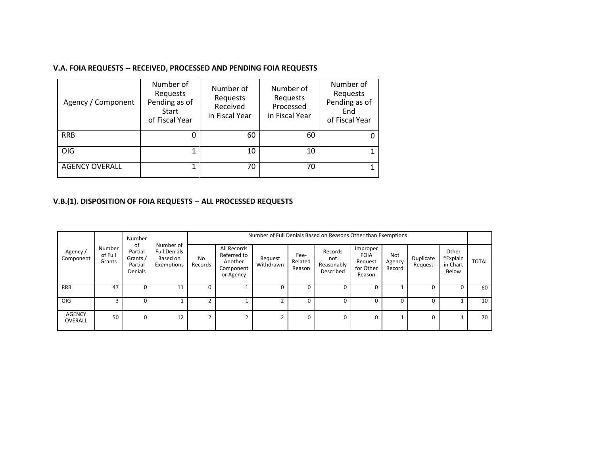## **V.A. FOIA REQUESTS -- RECEIVED, PROCESSED AND PENDING FOIA REQUESTS**

| Agency / Component    | Number of<br>Requests<br>Pending as of<br>Start<br>of Fiscal Year | Number of<br>Requests<br>Received<br>in Fiscal Year | Number of<br>Requests<br>Processed<br>in Fiscal Year | Number of<br>Requests<br>Pending as of<br>End<br>of Fiscal Year |
|-----------------------|-------------------------------------------------------------------|-----------------------------------------------------|------------------------------------------------------|-----------------------------------------------------------------|
| <b>RRB</b>            |                                                                   | 60                                                  | 60                                                   | 0                                                               |
| <b>OIG</b>            | 1                                                                 | 10                                                  | 10                                                   |                                                                 |
| <b>AGENCY OVERALL</b> | 1                                                                 | 70                                                  | 70                                                   |                                                                 |

### **V.B.(1). DISPOSITION OF FOIA REQUESTS -- ALL PROCESSED REQUESTS**

|                          |                             | Number                                          |                                                            |               | Number of Full Denials Based on Reasons Other than Exemptions   |                      |                           |                                           |                                                           |                         |                      |                                        |              |  |  |
|--------------------------|-----------------------------|-------------------------------------------------|------------------------------------------------------------|---------------|-----------------------------------------------------------------|----------------------|---------------------------|-------------------------------------------|-----------------------------------------------------------|-------------------------|----------------------|----------------------------------------|--------------|--|--|
| Agency /<br>Component    | Number<br>of Full<br>Grants | of<br>Partial<br>Grants /<br>Partial<br>Denials | Number of<br><b>Full Denials</b><br>Based on<br>Exemptions | No<br>Records | All Records<br>Referred to<br>Another<br>Component<br>or Agency | Request<br>Withdrawn | Fee-<br>Related<br>Reason | Records<br>not<br>Reasonably<br>Described | Improper<br><b>FOIA</b><br>Request<br>for Other<br>Reason | Not<br>Agency<br>Record | Duplicate<br>Request | Other<br>*Explain<br>in Chart<br>Below | <b>TOTAL</b> |  |  |
| <b>RRB</b>               | 47                          | 0                                               | 11                                                         | 0             |                                                                 | 0                    |                           | 0                                         |                                                           |                         | 0                    | 0                                      | 60           |  |  |
| OIG                      |                             | $\Omega$                                        |                                                            |               |                                                                 |                      |                           | $\Omega$                                  |                                                           |                         | 0                    |                                        | 10           |  |  |
| <b>AGENCY</b><br>OVERALL | 50                          | $\Omega$                                        | 12                                                         | 2             | ີ                                                               | $\mathbf{r}$         | 0                         | $\Omega$                                  | $\Omega$                                                  |                         | 0                    |                                        | 70           |  |  |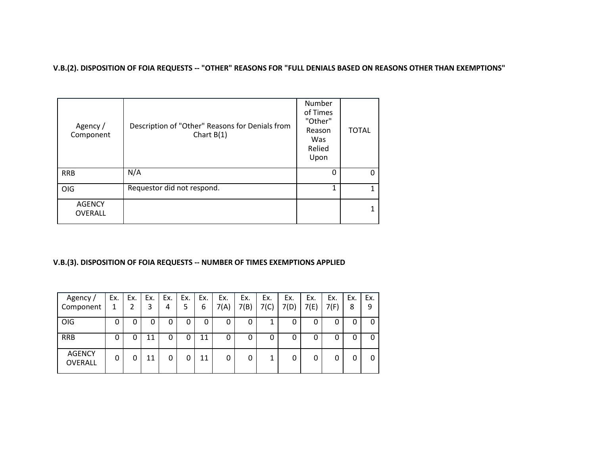#### **V.B.(2). DISPOSITION OF FOIA REQUESTS -- "OTHER" REASONS FOR "FULL DENIALS BASED ON REASONS OTHER THAN EXEMPTIONS"**

| Agency /<br>Component           | Description of "Other" Reasons for Denials from<br>Chart $B(1)$ | Number<br>of Times<br>"Other"<br>Reason<br>Was<br>Relied<br>Upon | <b>TOTAL</b> |
|---------------------------------|-----------------------------------------------------------------|------------------------------------------------------------------|--------------|
| <b>RRB</b>                      | N/A                                                             | 0                                                                |              |
| OIG                             | Requestor did not respond.                                      | 1                                                                |              |
| <b>AGENCY</b><br><b>OVERALL</b> |                                                                 |                                                                  |              |

#### **V.B.(3). DISPOSITION OF FOIA REQUESTS -- NUMBER OF TIMES EXEMPTIONS APPLIED**

| Agency /<br>Component           | Ex. | Ex. | Ex.<br>3 | Ex.<br>4 | Ex.<br>5 | Ex.<br>6 | Ex.<br>7(A) | Ex.<br>7(B) | Ex.<br>7(C) | Ex.<br>7(D) | Ex.<br>7(E) | Ex.<br>7(F) | Ex.<br>8 | Ex.<br>9 |
|---------------------------------|-----|-----|----------|----------|----------|----------|-------------|-------------|-------------|-------------|-------------|-------------|----------|----------|
| OIG                             | 0   | 0   | 0        | 0        | 0        | 0        | 0           | 0           | 1           | 0           | 0           | 0           |          |          |
| <b>RRB</b>                      | 0   | 0   | 11       | 0        | 0        | 11       | 0           | 0           | 0           | 0           | 0           | 0           | υ        |          |
| <b>AGENCY</b><br><b>OVERALL</b> | 0   | 0   | 11       | 0        | 0        | 11       | 0           | 0           | 1           | 0           | 0           |             |          |          |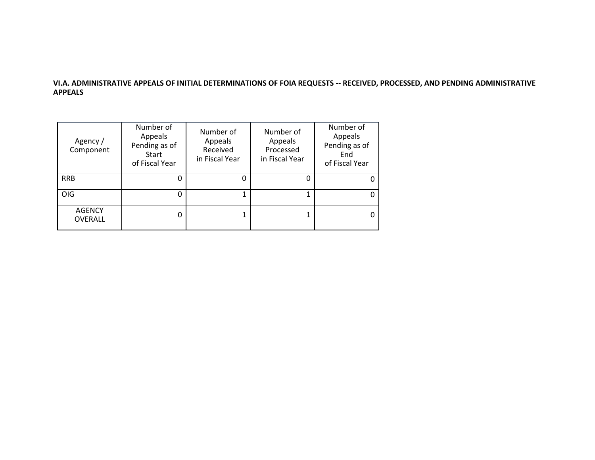### **VI.A. ADMINISTRATIVE APPEALS OF INITIAL DETERMINATIONS OF FOIA REQUESTS -- RECEIVED, PROCESSED, AND PENDING ADMINISTRATIVE APPEALS**

| Agency /<br>Component           | Number of<br>Appeals<br>Pending as of<br>Start<br>of Fiscal Year | Number of<br>Appeals<br>Received<br>in Fiscal Year | Number of<br>Appeals<br>Processed<br>in Fiscal Year | Number of<br>Appeals<br>Pending as of<br>End<br>of Fiscal Year |
|---------------------------------|------------------------------------------------------------------|----------------------------------------------------|-----------------------------------------------------|----------------------------------------------------------------|
| <b>RRB</b>                      |                                                                  | O                                                  |                                                     | 0                                                              |
| <b>OIG</b>                      |                                                                  |                                                    |                                                     | 0                                                              |
| <b>AGENCY</b><br><b>OVERALL</b> | 0                                                                |                                                    |                                                     | 0                                                              |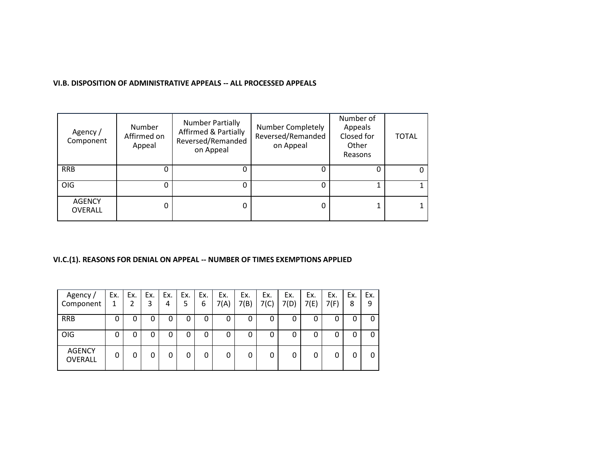### **VI.B. DISPOSITION OF ADMINISTRATIVE APPEALS -- ALL PROCESSED APPEALS**

| Agency /<br>Component           | <b>Number</b><br>Affirmed on<br>Appeal | <b>Number Partially</b><br><b>Affirmed &amp; Partially</b><br>Reversed/Remanded<br>on Appeal | Number Completely<br>Reversed/Remanded<br>on Appeal | Number of<br>Appeals<br>Closed for<br>Other<br>Reasons | <b>TOTAL</b> |
|---------------------------------|----------------------------------------|----------------------------------------------------------------------------------------------|-----------------------------------------------------|--------------------------------------------------------|--------------|
| <b>RRB</b>                      | 0                                      |                                                                                              |                                                     |                                                        |              |
| <b>OIG</b>                      | 0                                      | 0                                                                                            | O                                                   |                                                        |              |
| <b>AGENCY</b><br><b>OVERALL</b> | 0                                      | 0                                                                                            |                                                     |                                                        |              |

## **VI.C.(1). REASONS FOR DENIAL ON APPEAL -- NUMBER OF TIMES EXEMPTIONS APPLIED**

| Agency /<br>Component           | Ex.<br>1 | Ex. | Ex.<br>3 | Ex.<br>4 | Ex.<br>5 | Ex.<br>6 | Ex.<br>7(A) | Ex.<br>7(B) | Ex.<br>7(C) | Ex.<br>7(D) | Ex.<br>7(E) | Ex.<br>7(F) | Ex.<br>8 | Ex.<br>9 |
|---------------------------------|----------|-----|----------|----------|----------|----------|-------------|-------------|-------------|-------------|-------------|-------------|----------|----------|
| <b>RRB</b>                      | 0        | 0   | 0        | 0        | 0        | 0        | 0           | 0           | 0           | 0           | 0           |             | U        | 0        |
| OIG                             | 0        | 0   | 0        | 0        | 0        | 0        | 0           | 0           | 0           | 0           | 0           |             | U        | O        |
| <b>AGENCY</b><br><b>OVERALL</b> | 0        | 0   | 0        | 0        | 0        | 0        | 0           |             | 0           |             | 0           |             |          |          |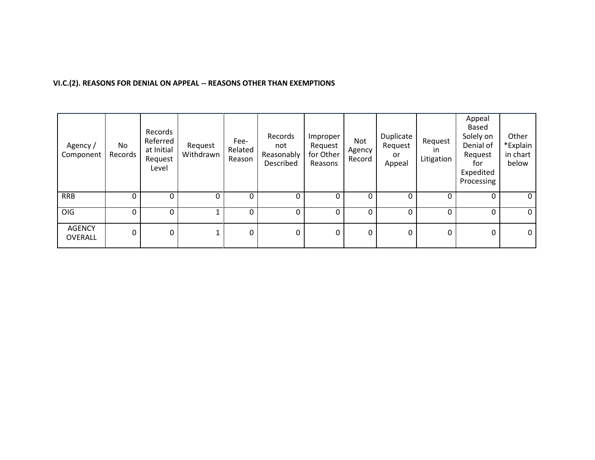### **VI.C.(2). REASONS FOR DENIAL ON APPEAL -- REASONS OTHER THAN EXEMPTIONS**

| Agency /<br>Component           | No<br>Records | Records<br>Referred<br>at Initial<br>Request<br>Level | Request<br>Withdrawn | Fee-<br>Related<br>Reason | Records<br>not<br>Reasonably<br>Described | Improper<br>Request<br>for Other<br>Reasons | Not<br>Agency<br>Record | Duplicate<br>Request<br>or<br>Appeal | Request<br><i>in</i><br>Litigation | Appeal<br>Based<br>Solely on<br>Denial of<br>Request<br>for<br>Expedited<br>Processing | Other<br>*Explain<br>in chart<br>below |
|---------------------------------|---------------|-------------------------------------------------------|----------------------|---------------------------|-------------------------------------------|---------------------------------------------|-------------------------|--------------------------------------|------------------------------------|----------------------------------------------------------------------------------------|----------------------------------------|
| <b>RRB</b>                      | 0             | 0                                                     | 0                    | 0                         | 0                                         | 0                                           | 0                       | 0                                    | 0                                  | 0                                                                                      | 0                                      |
| OIG                             | 0             | $\mathbf 0$                                           |                      | 0                         | 0                                         | 0                                           | 0                       | 0                                    | 0                                  | 0                                                                                      | $\mathbf 0$                            |
| <b>AGENCY</b><br><b>OVERALL</b> | 0             | $\mathbf 0$                                           |                      | $\pmb{0}$                 | 0                                         | 0                                           | 0                       | 0                                    | 0                                  | 0                                                                                      | 0                                      |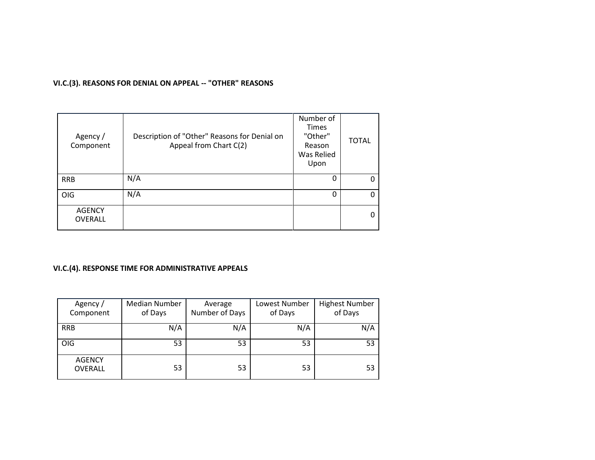# **VI.C.(3). REASONS FOR DENIAL ON APPEAL -- "OTHER" REASONS**

| Agency /<br>Component           | Description of "Other" Reasons for Denial on<br>Appeal from Chart C(2) | Number of<br><b>Times</b><br>"Other"<br>Reason<br>Was Relied<br>Upon | <b>TOTAL</b> |
|---------------------------------|------------------------------------------------------------------------|----------------------------------------------------------------------|--------------|
| <b>RRB</b>                      | N/A                                                                    | O                                                                    |              |
| OIG                             | N/A                                                                    | 0                                                                    |              |
| <b>AGENCY</b><br><b>OVERALL</b> |                                                                        |                                                                      |              |

# **VI.C.(4). RESPONSE TIME FOR ADMINISTRATIVE APPEALS**

| Agency /<br>Component           | <b>Median Number</b><br>of Days | Average<br>Number of Days | Lowest Number<br>of Days | <b>Highest Number</b><br>of Days |
|---------------------------------|---------------------------------|---------------------------|--------------------------|----------------------------------|
| <b>RRB</b>                      | N/A                             | N/A                       | N/A                      | N/A                              |
| OIG                             | 53                              | 53                        | 53                       | 53                               |
| <b>AGENCY</b><br><b>OVERALL</b> | 53                              | 53                        | 53                       | 53                               |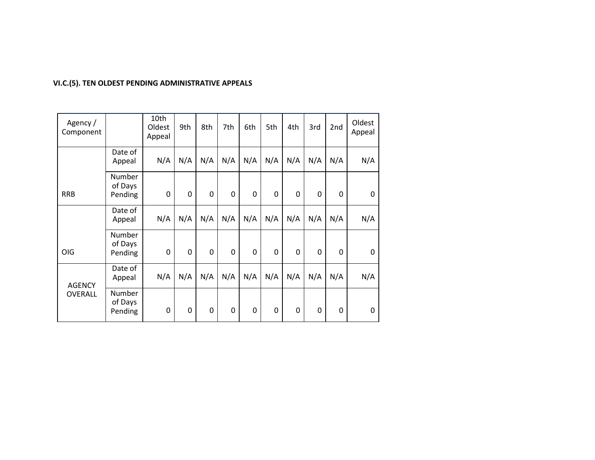# **VI.C.(5). TEN OLDEST PENDING ADMINISTRATIVE APPEALS**

| Agency /<br>Component |                              | 10th<br>Oldest<br>Appeal | 9th | 8th | 7th | 6th | 5th         | 4th | 3rd         | 2 <sub>nd</sub> | Oldest<br>Appeal |
|-----------------------|------------------------------|--------------------------|-----|-----|-----|-----|-------------|-----|-------------|-----------------|------------------|
|                       | Date of<br>Appeal            | N/A                      | N/A | N/A | N/A | N/A | N/A         | N/A | N/A         | N/A             | N/A              |
| <b>RRB</b>            | Number<br>of Days<br>Pending | 0                        | 0   | 0   | 0   | 0   | $\mathbf 0$ | 0   | $\mathbf 0$ | 0               | 0                |
|                       | Date of<br>Appeal            | N/A                      | N/A | N/A | N/A | N/A | N/A         | N/A | N/A         | N/A             | N/A              |
| <b>OIG</b>            | Number<br>of Days<br>Pending | 0                        | 0   | 0   | 0   | 0   | $\mathbf 0$ | 0   | 0           | 0               | 0                |
| <b>AGENCY</b>         | Date of<br>Appeal            | N/A                      | N/A | N/A | N/A | N/A | N/A         | N/A | N/A         | N/A             | N/A              |
| <b>OVERALL</b>        | Number<br>of Days<br>Pending | 0                        | 0   | 0   | 0   | 0   | 0           | 0   | 0           | 0               | 0                |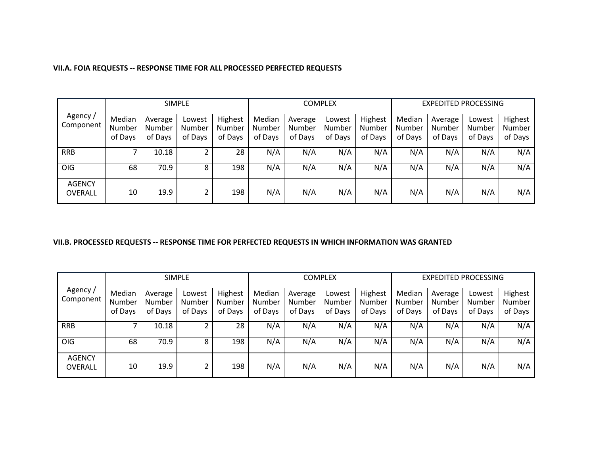|                                 | <b>SIMPLE</b>               |                              |                             |                              |                             |                              | <b>COMPLEX</b>              |                              | <b>EXPEDITED PROCESSING</b> |                              |                             |                              |
|---------------------------------|-----------------------------|------------------------------|-----------------------------|------------------------------|-----------------------------|------------------------------|-----------------------------|------------------------------|-----------------------------|------------------------------|-----------------------------|------------------------------|
| Agency /<br>Component           | Median<br>Number<br>of Days | Average<br>Number<br>of Days | Lowest<br>Number<br>of Days | Highest<br>Number<br>of Days | Median<br>Number<br>of Days | Average<br>Number<br>of Days | Lowest<br>Number<br>of Days | Highest<br>Number<br>of Days | Median<br>Number<br>of Days | Average<br>Number<br>of Days | Lowest<br>Number<br>of Days | Highest<br>Number<br>of Days |
| <b>RRB</b>                      |                             | 10.18                        |                             | 28                           | N/A                         | N/A                          | N/A                         | N/A                          | N/A                         | N/A                          | N/A                         | N/A                          |
| <b>OIG</b>                      | 68                          | 70.9                         | 8                           | 198                          | N/A                         | N/A                          | N/A                         | N/A                          | N/A                         | N/A                          | N/A                         | N/A                          |
| <b>AGENCY</b><br><b>OVERALL</b> | 10                          | 19.9                         |                             | 198                          | N/A                         | N/A                          | N/A                         | N/A                          | N/A                         | N/A                          | N/A                         | N/A                          |

### **VII.B. PROCESSED REQUESTS -- RESPONSE TIME FOR PERFECTED REQUESTS IN WHICH INFORMATION WAS GRANTED**

|                          | <b>SIMPLE</b>               |                              |                             |                                     |                             | <b>COMPLEX</b>               |                             | <b>EXPEDITED PROCESSING</b>  |                             |                              |                             |                              |
|--------------------------|-----------------------------|------------------------------|-----------------------------|-------------------------------------|-----------------------------|------------------------------|-----------------------------|------------------------------|-----------------------------|------------------------------|-----------------------------|------------------------------|
| Agency /<br>Component    | Median<br>Number<br>of Days | Average<br>Number<br>of Days | Lowest<br>Number<br>of Days | Highest<br><b>Number</b><br>of Days | Median<br>Number<br>of Days | Average<br>Number<br>of Days | Lowest<br>Number<br>of Days | Highest<br>Number<br>of Days | Median<br>Number<br>of Days | Average<br>Number<br>of Days | Lowest<br>Number<br>of Days | Highest<br>Number<br>of Days |
| <b>RRB</b>               |                             | 10.18                        |                             | 28                                  | N/A                         | N/A                          | N/A                         | N/A                          | N/A                         | N/A                          | N/A                         | N/A                          |
| OIG                      | 68                          | 70.9                         | 8                           | 198                                 | N/A                         | N/A                          | N/A                         | N/A                          | N/A                         | N/A                          | N/A                         | N/A                          |
| <b>AGENCY</b><br>OVERALL | 10                          | 19.9                         |                             | 198                                 | N/A                         | N/A                          | N/A                         | N/A                          | N/A                         | N/A                          | N/A                         | N/A                          |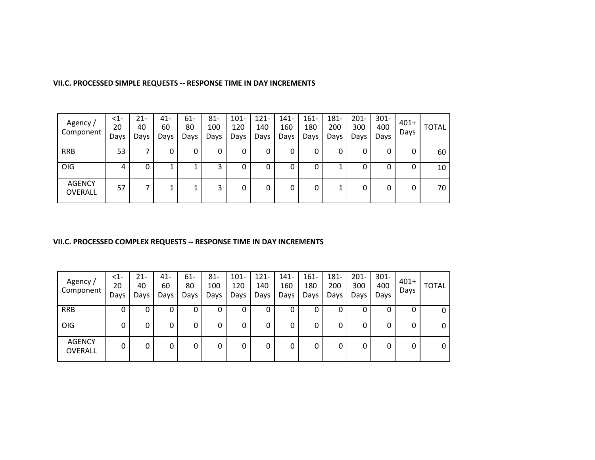| Agency /<br>Component    | $<$ 1-<br>20<br>Days | 21-<br>40<br>Days | 41-<br>60<br>Days | $61 -$<br>80<br>Days | $81 -$<br>100<br>Days | $101 -$<br>120<br>Days | $121 -$<br>140<br>Days | 141-<br>160<br>Days | $161 -$<br>180<br>Days | 181-<br>200<br>Days | $201 -$<br>300<br>Days | $301 -$<br>400<br>Days | $401+$<br>Days | <b>TOTAL</b> |
|--------------------------|----------------------|-------------------|-------------------|----------------------|-----------------------|------------------------|------------------------|---------------------|------------------------|---------------------|------------------------|------------------------|----------------|--------------|
| <b>RRB</b>               | 53                   |                   | 0                 | 0                    | 0                     | U                      | 0                      |                     | 0                      | 0                   | 0                      |                        | 0              | 60           |
| OIG                      | 4                    | 0                 | ┻                 |                      | <u>ว</u>              | υ                      | 0                      |                     | 0                      | Τ.                  | 0                      |                        | 0              | 10           |
| <b>AGENCY</b><br>OVERALL | 57                   |                   |                   |                      | 3                     |                        | 0                      |                     | 0                      | 1                   | 0                      | 0                      | 0              | 70           |

### **VII.C. PROCESSED SIMPLE REQUESTS -- RESPONSE TIME IN DAY INCREMENTS**

## **VII.C. PROCESSED COMPLEX REQUESTS -- RESPONSE TIME IN DAY INCREMENTS**

| Agency/<br>Component            | $<$ 1-<br>20<br>Days | 21-<br>40<br>Days | $41 -$<br>60<br>Days | $61 -$<br>80<br>Days | $81 -$<br>100<br>Days | $101 -$<br>120<br>Days | $121 -$<br>140<br>Days | $141 -$<br>160<br>Days | $161 -$<br>180<br>Days | 181-<br>200<br>Days | $201 -$<br>300<br>Days | $301 -$<br>400<br>Days | $401+$<br>Days | <b>TOTAL</b> |
|---------------------------------|----------------------|-------------------|----------------------|----------------------|-----------------------|------------------------|------------------------|------------------------|------------------------|---------------------|------------------------|------------------------|----------------|--------------|
| <b>RRB</b>                      | 0                    |                   | 0                    | 0                    |                       | 0                      | 0                      | 0                      |                        | 0                   | 0                      |                        | 0              | 0            |
| OIG                             | 0                    | 0                 | 0                    | 0                    | υ                     | 0                      | 0                      | 0                      |                        | 0                   | 0                      |                        | 0              | 0            |
| <b>AGENCY</b><br><b>OVERALL</b> | 0                    |                   | 0                    | 0                    |                       | 0                      | 0                      | 0                      |                        | 0                   | 0                      |                        | 0              | 0            |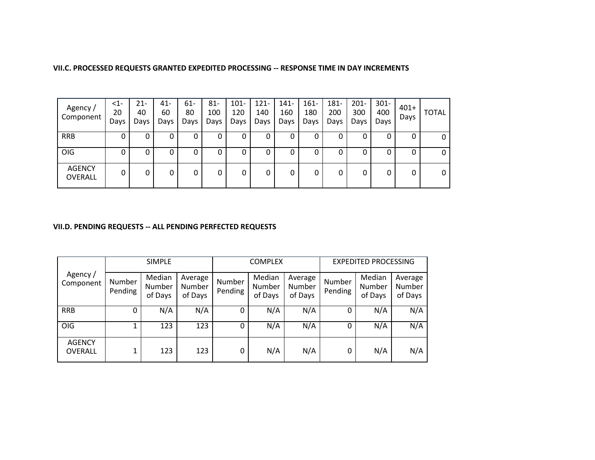| VII.C. PROCESSED REQUESTS GRANTED EXPEDITED PROCESSING -- RESPONSE TIME IN DAY INCREMENTS |  |
|-------------------------------------------------------------------------------------------|--|
|                                                                                           |  |

| Agency/<br>Component     | $\leq$ 1-<br>20<br>Days | 21-<br>40<br>Days | 41-<br>60<br>Days | $61 -$<br>80<br>Days | $81 -$<br>100<br>Days | $101 -$<br>120<br>Days | $121 -$<br>140<br>Days | 141-<br>160<br>Days | $161 -$<br>180<br>Days | 181-<br>200<br>Days | $201 -$<br>300<br>Days | $301 -$<br>400<br>Days | $401+$<br>Days | <b>TOTAL</b> |
|--------------------------|-------------------------|-------------------|-------------------|----------------------|-----------------------|------------------------|------------------------|---------------------|------------------------|---------------------|------------------------|------------------------|----------------|--------------|
| <b>RRB</b>               | 0                       | U                 | 0                 | 0                    | O                     | U                      | 0                      |                     | U                      | 0                   | 0                      | U                      | Ü              | 0            |
| OIG                      |                         |                   | 0                 | 0                    | 0                     | U                      | 0                      |                     | 0                      | 0                   | 0                      | 0                      | 0              | 0            |
| <b>AGENCY</b><br>OVERALL |                         |                   | 0                 | 0                    | 0                     | 0                      | 0                      |                     | 0                      | 0                   | 0                      | 0                      | 0              | 0            |

## **VII.D. PENDING REQUESTS -- ALL PENDING PERFECTED REQUESTS**

|                                 |                   | <b>SIMPLE</b>                      |                              |                          | <b>COMPLEX</b>              |                              | <b>EXPEDITED PROCESSING</b> |                             |                              |  |
|---------------------------------|-------------------|------------------------------------|------------------------------|--------------------------|-----------------------------|------------------------------|-----------------------------|-----------------------------|------------------------------|--|
| Agency /<br>Component           | Number<br>Pending | Median<br><b>Number</b><br>of Days | Average<br>Number<br>of Days | <b>Number</b><br>Pending | Median<br>Number<br>of Days | Average<br>Number<br>of Days | <b>Number</b><br>Pending    | Median<br>Number<br>of Days | Average<br>Number<br>of Days |  |
| <b>RRB</b>                      | 0                 | N/A                                | N/A                          | 0                        | N/A                         | N/A                          | 0                           | N/A                         | N/A                          |  |
| OIG                             |                   | 123                                | 123                          | 0                        | N/A                         | N/A                          | 0                           | N/A                         | N/A                          |  |
| <b>AGENCY</b><br><b>OVERALL</b> |                   | 123                                | 123                          | 0                        | N/A                         | N/A                          | 0                           | N/A                         | N/A                          |  |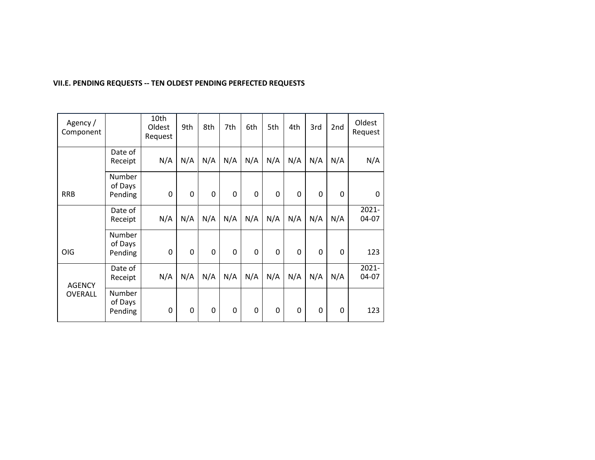| Agency /<br>Component |                              | 10th<br>Oldest<br>Request | 9th | 8th | 7th | 6th         | 5th | 4th      | 3rd | 2nd          | Oldest<br>Request |
|-----------------------|------------------------------|---------------------------|-----|-----|-----|-------------|-----|----------|-----|--------------|-------------------|
|                       | Date of<br>Receipt           | N/A                       | N/A | N/A | N/A | N/A         | N/A | N/A      | N/A | N/A          | N/A               |
| <b>RRB</b>            | Number<br>of Days<br>Pending | 0                         | 0   | 0   | 0   | $\mathbf 0$ | 0   | $\Omega$ | 0   | $\mathbf{0}$ | $\mathbf{0}$      |
|                       | Date of<br>Receipt           | N/A                       | N/A | N/A | N/A | N/A         | N/A | N/A      | N/A | N/A          | 2021-<br>04-07    |
| <b>OIG</b>            | Number<br>of Days<br>Pending | 0                         | 0   | 0   | 0   | 0           | 0   | 0        | 0   | 0            | 123               |
| <b>AGENCY</b>         | Date of<br>Receipt           | N/A                       | N/A | N/A | N/A | N/A         | N/A | N/A      | N/A | N/A          | $2021 -$<br>04-07 |
| <b>OVERALL</b>        | Number<br>of Days<br>Pending | 0                         | 0   | 0   | 0   | 0           | 0   | 0        | 0   | $\mathbf{0}$ | 123               |

# **VII.E. PENDING REQUESTS -- TEN OLDEST PENDING PERFECTED REQUESTS**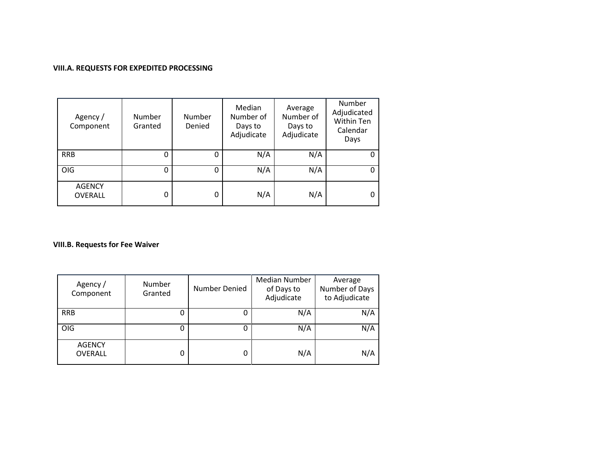### **VIII.A. REQUESTS FOR EXPEDITED PROCESSING**

| Agency /<br>Component           | Number<br>Granted | Number<br>Denied | Median<br>Number of<br>Days to<br>Adjudicate | Average<br>Number of<br>Days to<br>Adjudicate | Number<br>Adjudicated<br>Within Ten<br>Calendar<br>Days |
|---------------------------------|-------------------|------------------|----------------------------------------------|-----------------------------------------------|---------------------------------------------------------|
| <b>RRB</b>                      | Ω                 | 0                | N/A                                          | N/A                                           |                                                         |
| <b>OIG</b>                      | ი                 | 0                | N/A                                          | N/A                                           |                                                         |
| <b>AGENCY</b><br><b>OVERALL</b> |                   | 0                | N/A                                          | N/A                                           |                                                         |

## **VIII.B. Requests for Fee Waiver**

| Agency /<br>Component           | Number<br>Granted | Number Denied | Median Number<br>of Days to<br>Adjudicate | Average<br>Number of Days<br>to Adjudicate |
|---------------------------------|-------------------|---------------|-------------------------------------------|--------------------------------------------|
| <b>RRB</b>                      |                   | 0             | N/A                                       | N/A                                        |
| OIG                             |                   | 0             | N/A                                       | N/A                                        |
| <b>AGENCY</b><br><b>OVERALL</b> |                   | 0             | N/A                                       | N/A                                        |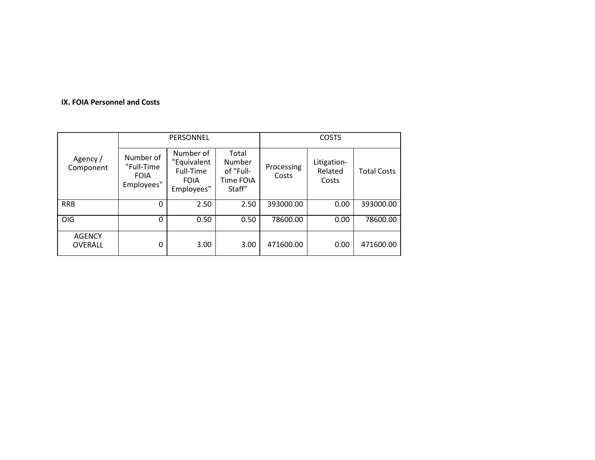## **IX. FOIA Personnel and Costs**

|                          |                                                      | PERSONNEL                                                          |                                                     | <b>COSTS</b>        |                                 |                    |  |
|--------------------------|------------------------------------------------------|--------------------------------------------------------------------|-----------------------------------------------------|---------------------|---------------------------------|--------------------|--|
| Agency /<br>Component    | Number of<br>"Full-Time<br><b>FOIA</b><br>Employees" | Number of<br>"Equivalent<br>Full-Time<br><b>FOIA</b><br>Employees" | Total<br>Number<br>of "Full-<br>Time FOIA<br>Staff" | Processing<br>Costs | Litigation-<br>Related<br>Costs | <b>Total Costs</b> |  |
| <b>RRB</b>               | 0                                                    | 2.50                                                               | 2.50                                                | 393000.00           | 0.00                            | 393000.00          |  |
| OIG                      | 0                                                    | 0.50                                                               | 0.50                                                | 78600.00            | 0.00                            | 78600.00           |  |
| <b>AGENCY</b><br>OVERALL | 0                                                    | 3.00                                                               | 3.00                                                | 471600.00           | 0.00                            | 471600.00          |  |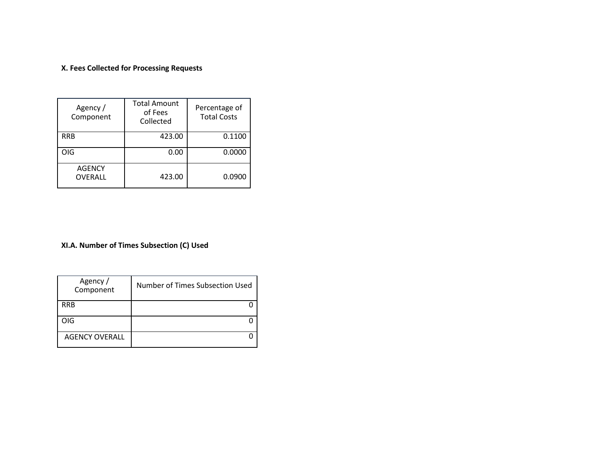# **X. Fees Collected for Processing Requests**

| Agency/<br>Component            | <b>Total Amount</b><br>of Fees<br>Collected | Percentage of<br><b>Total Costs</b> |
|---------------------------------|---------------------------------------------|-------------------------------------|
| <b>RRB</b>                      | 423.00                                      | 0.1100                              |
| OIG                             | 0.00                                        | 0.0000                              |
| <b>AGENCY</b><br><b>OVERALL</b> | 423.00                                      | 0.0900                              |

## **XI.A. Number of Times Subsection (C) Used**

| Agency /<br>Component | Number of Times Subsection Used |
|-----------------------|---------------------------------|
| <b>RRB</b>            |                                 |
| OIG                   |                                 |
| <b>AGENCY OVERALL</b> |                                 |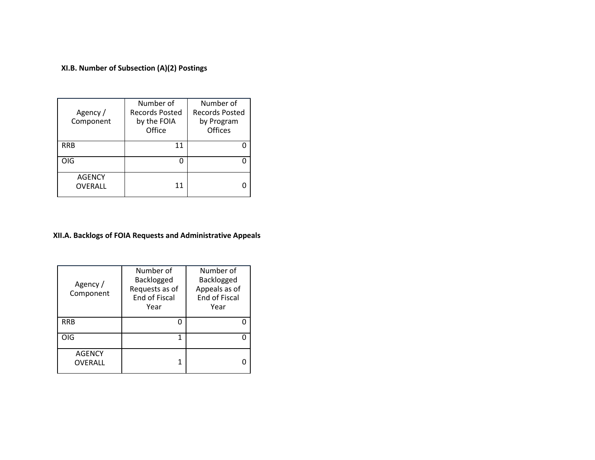**XI.B. Number of Subsection (A)(2) Postings** 

| Agency/<br>Component            | Number of<br>Records Posted<br>by the FOIA<br>Office | Number of<br><b>Records Posted</b><br>by Program<br><b>Offices</b> |
|---------------------------------|------------------------------------------------------|--------------------------------------------------------------------|
| <b>RRB</b>                      | 11                                                   |                                                                    |
| OIG                             | O                                                    |                                                                    |
| <b>AGENCY</b><br><b>OVERALL</b> | 11                                                   |                                                                    |

# **XII.A. Backlogs of FOIA Requests and Administrative Appeals**

| Agency/<br>Component     | Number of<br>Backlogged<br>Requests as of<br><b>End of Fiscal</b><br>Year | Number of<br>Backlogged<br>Appeals as of<br><b>End of Fiscal</b><br>Year |
|--------------------------|---------------------------------------------------------------------------|--------------------------------------------------------------------------|
| <b>RRB</b>               |                                                                           |                                                                          |
| OIG                      |                                                                           |                                                                          |
| <b>AGENCY</b><br>OVERALL |                                                                           |                                                                          |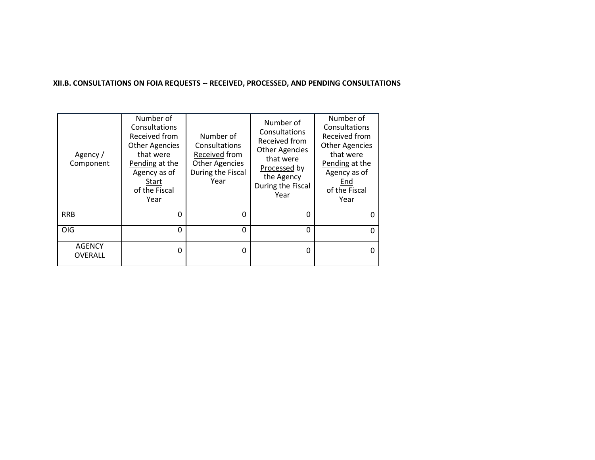### **XII.B. CONSULTATIONS ON FOIA REQUESTS -- RECEIVED, PROCESSED, AND PENDING CONSULTATIONS**

| Agency /<br>Component           | Number of<br>Consultations<br>Received from<br><b>Other Agencies</b><br>that were<br>Pending at the<br>Agency as of<br>Start<br>of the Fiscal<br>Year | Number of<br>Consultations<br>Received from<br><b>Other Agencies</b><br>During the Fiscal<br>Year | Number of<br>Consultations<br>Received from<br><b>Other Agencies</b><br>that were<br>Processed by<br>the Agency<br>During the Fiscal<br>Year | Number of<br>Consultations<br>Received from<br><b>Other Agencies</b><br>that were<br>Pending at the<br>Agency as of<br>End<br>of the Fiscal<br>Year |
|---------------------------------|-------------------------------------------------------------------------------------------------------------------------------------------------------|---------------------------------------------------------------------------------------------------|----------------------------------------------------------------------------------------------------------------------------------------------|-----------------------------------------------------------------------------------------------------------------------------------------------------|
| <b>RRB</b>                      | 0                                                                                                                                                     | 0                                                                                                 | 0                                                                                                                                            | 0                                                                                                                                                   |
| OIG                             | $\mathbf 0$                                                                                                                                           | 0                                                                                                 | 0                                                                                                                                            | 0                                                                                                                                                   |
| <b>AGENCY</b><br><b>OVERALL</b> | 0                                                                                                                                                     | 0                                                                                                 | 0                                                                                                                                            | 0                                                                                                                                                   |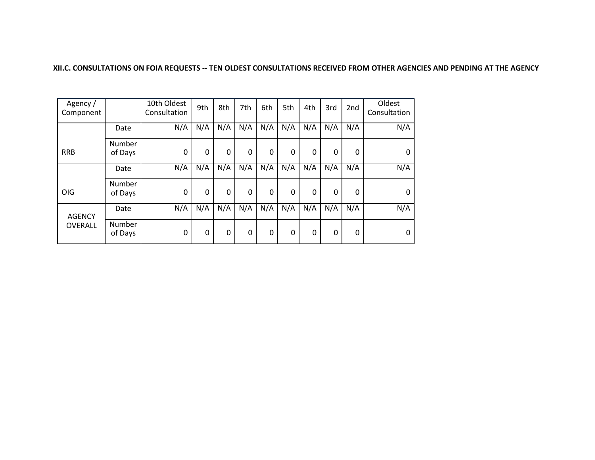#### **XII.C. CONSULTATIONS ON FOIA REQUESTS -- TEN OLDEST CONSULTATIONS RECEIVED FROM OTHER AGENCIES AND PENDING AT THE AGENCY**

| Agency/<br>Component |                   | 10th Oldest<br>Consultation | 9th | 8th | 7th | 6th | 5th          | 4th | 3rd          | 2nd          | Oldest<br>Consultation |
|----------------------|-------------------|-----------------------------|-----|-----|-----|-----|--------------|-----|--------------|--------------|------------------------|
|                      | Date              | N/A                         | N/A | N/A | N/A | N/A | N/A          | N/A | N/A          | N/A          | N/A                    |
| <b>RRB</b>           | Number<br>of Days | $\mathbf{0}$                | 0   | 0   | 0   | 0   | $\mathbf{0}$ | 0   | 0            | 0            | $\mathbf{0}$           |
|                      | Date              | N/A                         | N/A | N/A | N/A | N/A | N/A          | N/A | N/A          | N/A          | N/A                    |
| OIG                  | Number<br>of Days | $\mathbf{0}$                | 0   | 0   | 0   | 0   | 0            | 0   | $\mathbf{0}$ | 0            | 0                      |
| <b>AGENCY</b>        | Date              | N/A                         | N/A | N/A | N/A | N/A | N/A          | N/A | N/A          | N/A          | N/A                    |
| OVERALL              | Number<br>of Days | $\mathbf{0}$                | 0   | 0   | 0   | 0   | 0            | 0   | 0            | $\mathbf{0}$ | 0                      |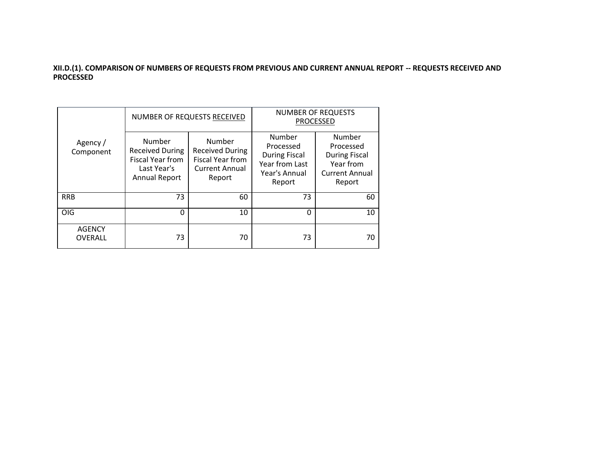### **XII.D.(1). COMPARISON OF NUMBERS OF REQUESTS FROM PREVIOUS AND CURRENT ANNUAL REPORT -- REQUESTS RECEIVED AND PROCESSED**

|                                 |                                                                                                    | NUMBER OF REQUESTS RECEIVED                                                             | <b>NUMBER OF REQUESTS</b><br><b>PROCESSED</b>                                            |                                                                                             |  |
|---------------------------------|----------------------------------------------------------------------------------------------------|-----------------------------------------------------------------------------------------|------------------------------------------------------------------------------------------|---------------------------------------------------------------------------------------------|--|
| Agency /<br>Component           | Number<br><b>Received During</b><br><b>Fiscal Year from</b><br>Last Year's<br><b>Annual Report</b> | Number<br><b>Received During</b><br>Fiscal Year from<br><b>Current Annual</b><br>Report | Number<br>Processed<br><b>During Fiscal</b><br>Year from Last<br>Year's Annual<br>Report | Number<br>Processed<br><b>During Fiscal</b><br>Year from<br><b>Current Annual</b><br>Report |  |
| <b>RRB</b>                      | 73                                                                                                 | 60                                                                                      | 73                                                                                       | 60                                                                                          |  |
| <b>OIG</b>                      | n                                                                                                  | 10                                                                                      | $\Omega$                                                                                 | 10                                                                                          |  |
| <b>AGENCY</b><br><b>OVERALL</b> | 73                                                                                                 | 70                                                                                      | 73                                                                                       | 70                                                                                          |  |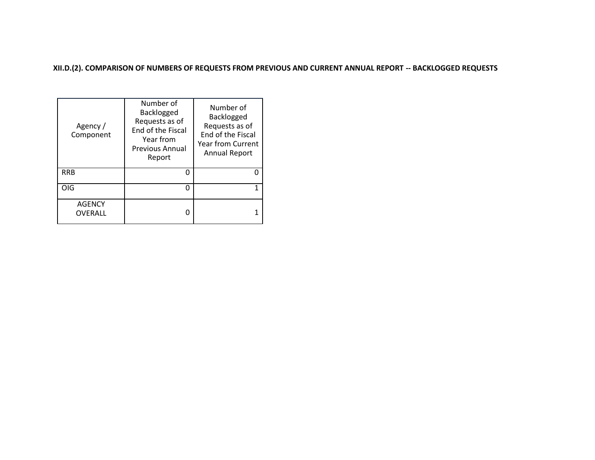**XII.D.(2). COMPARISON OF NUMBERS OF REQUESTS FROM PREVIOUS AND CURRENT ANNUAL REPORT -- BACKLOGGED REQUESTS** 

| Agency/<br>Component     | Number of<br>Backlogged<br>Requests as of<br>End of the Fiscal<br>Year from<br><b>Previous Annual</b><br>Report | Number of<br>Backlogged<br>Requests as of<br>End of the Fiscal<br>Year from Current<br><b>Annual Report</b> |
|--------------------------|-----------------------------------------------------------------------------------------------------------------|-------------------------------------------------------------------------------------------------------------|
| <b>RRB</b>               | n                                                                                                               |                                                                                                             |
| OIG                      | n                                                                                                               |                                                                                                             |
| <b>AGENCY</b><br>OVERALL |                                                                                                                 |                                                                                                             |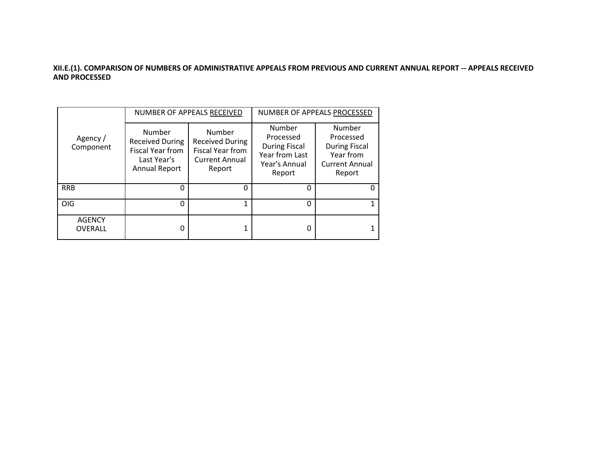### **XII.E.(1). COMPARISON OF NUMBERS OF ADMINISTRATIVE APPEALS FROM PREVIOUS AND CURRENT ANNUAL REPORT -- APPEALS RECEIVED AND PROCESSED**

|                                 |                                                                                                    | NUMBER OF APPEALS RECEIVED                                                                     | NUMBER OF APPEALS PROCESSED                                                              |                                                                                             |  |
|---------------------------------|----------------------------------------------------------------------------------------------------|------------------------------------------------------------------------------------------------|------------------------------------------------------------------------------------------|---------------------------------------------------------------------------------------------|--|
| Agency /<br>Component           | Number<br><b>Received During</b><br><b>Fiscal Year from</b><br>Last Year's<br><b>Annual Report</b> | Number<br><b>Received During</b><br><b>Fiscal Year from</b><br><b>Current Annual</b><br>Report | Number<br>Processed<br><b>During Fiscal</b><br>Year from Last<br>Year's Annual<br>Report | Number<br>Processed<br><b>During Fiscal</b><br>Year from<br><b>Current Annual</b><br>Report |  |
| <b>RRB</b>                      | ი                                                                                                  | 0                                                                                              | 0                                                                                        | 0                                                                                           |  |
| <b>OIG</b>                      | 0                                                                                                  | 1                                                                                              | 0                                                                                        |                                                                                             |  |
| <b>AGENCY</b><br><b>OVERALL</b> | ი                                                                                                  |                                                                                                | 0                                                                                        |                                                                                             |  |